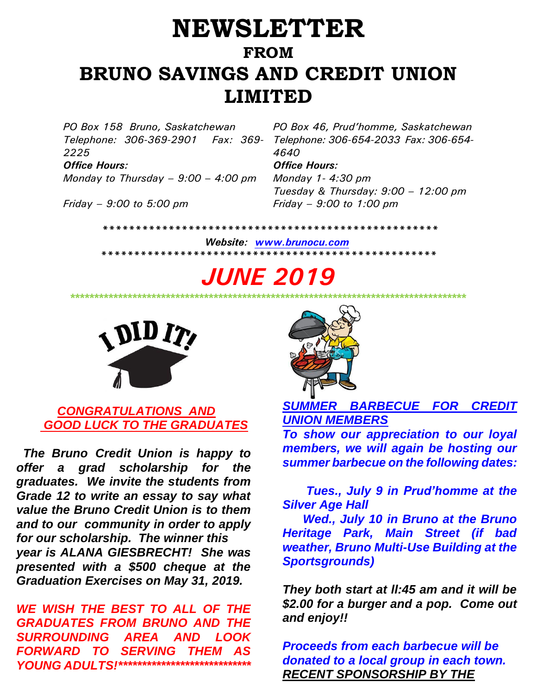# **NEWSLETTER FROM BRUNO SAVINGS AND CREDIT UNION LIMITED**

*Telephone: 306-369-2901 Fax: 369- 2225 Office Hours: Office Hours:*

*Monday to Thursday – 9:00 – 4:00 pm Monday 1- 4:30 pm*

*Friday – 9:00 to 5:00 pm Friday – 9:00 to 1:00 pm*

*PO Box 158 Bruno, Saskatchewan PO Box 46, Prud'homme, Saskatchewan Telephone: 306-654-2033 Fax: 306-654- 4640*

*Tuesday & Thursday: 9:00 – 12:00 pm*

 *\*\*\*\*\*\*\*\*\*\*\*\*\*\*\*\*\*\*\*\*\*\*\*\*\*\*\*\*\*\*\*\*\*\*\*\*\*\*\*\*\*\*\*\*\*\*\*\*\*\*\**

 *Website: [www.brunocu.com](http://www.brunocu.com/) \*\*\*\*\*\*\*\*\*\*\*\*\*\*\*\*\*\*\*\*\*\*\*\*\*\*\*\*\*\*\*\*\*\*\*\*\*\*\*\*\*\*\*\*\*\*\*\*\*\*\** 

*JUNE 2019*



# *CONGRATULATIONS AND GOOD LUCK TO THE GRADUATES*

*The Bruno Credit Union is happy to offer a grad scholarship for the graduates. We invite the students from Grade 12 to write an essay to say what value the Bruno Credit Union is to them and to our community in order to apply for our scholarship. The winner this year is ALANA GIESBRECHT! She was presented with a \$500 cheque at the Graduation Exercises on May 31, 2019.*

*WE WISH THE BEST TO ALL OF THE GRADUATES FROM BRUNO AND THE SURROUNDING AREA AND LOOK FORWARD TO SERVING THEM AS YOUNG ADULTS!\*\*\*\*\*\*\*\*\*\*\*\*\*\*\*\*\*\*\*\*\*\*\*\*\*\*\*\**



*SUMMER BARBECUE FOR CREDIT UNION MEMBERS*

*\*\*\*\*\*\*\*\*\*\*\*\*\*\*\*\*\*\*\*\*\*\*\*\*\*\*\*\*\*\*\*\*\*\*\*\*\*\*\*\*\*\*\*\*\*\*\*\*\*\*\*\*\*\*\*\*\*\*\*\*\*\*\*\*\*\*\*\*\*\*\*\*\*\*\*\*\*\*\*\*\*\*\**

*To show our appreciation to our loyal members, we will again be hosting our summer barbecue on the following dates:*

 *Tues., July 9 in Prud'homme at the Silver Age Hall*

 *Wed., July 10 in Bruno at the Bruno Heritage Park, Main Street (if bad weather, Bruno Multi-Use Building at the Sportsgrounds)*

*They both start at ll:45 am and it will be \$2.00 for a burger and a pop. Come out and enjoy!!*

*Proceeds from each barbecue will be donated to a local group in each town. RECENT SPONSORSHIP BY THE*